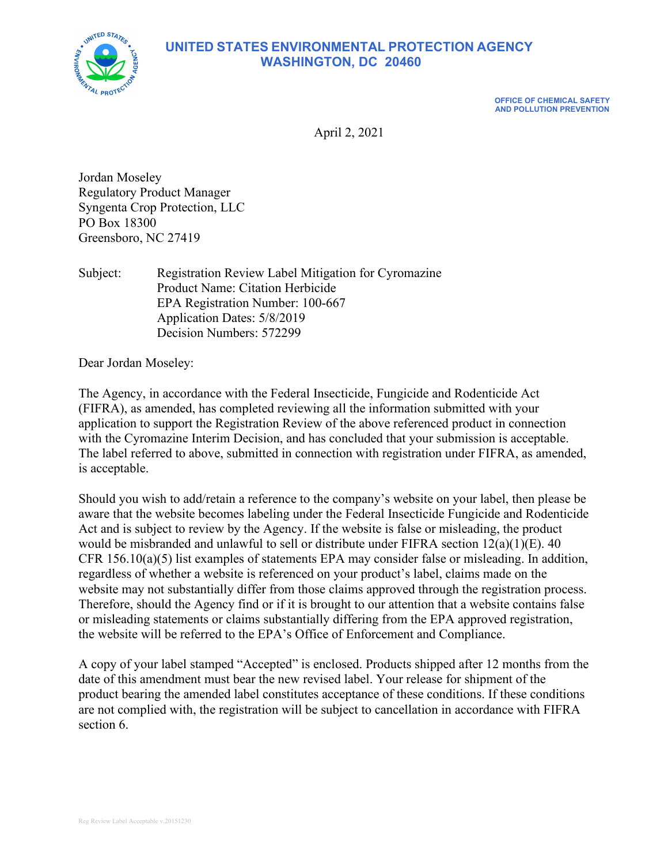**UNITED STATES ENVIRONMENTAL PROTECTION AGENCY WASHINGTON, DC 20460**



**OFFICE OF CHEMICAL SAFETY AND POLLUTION PREVENTION**

April 2, 2021

Jordan Moseley Regulatory Product Manager Syngenta Crop Protection, LLC PO Box 18300 Greensboro, NC 27419

Subject: Registration Review Label Mitigation for Cyromazine Product Name: Citation Herbicide EPA Registration Number: 100-667 Application Dates: 5/8/2019 Decision Numbers: 572299

Dear Jordan Moseley:

The Agency, in accordance with the Federal Insecticide, Fungicide and Rodenticide Act (FIFRA), as amended, has completed reviewing all the information submitted with your application to support the Registration Review of the above referenced product in connection with the Cyromazine Interim Decision, and has concluded that your submission is acceptable. The label referred to above, submitted in connection with registration under FIFRA, as amended, is acceptable.

Should you wish to add/retain a reference to the company's website on your label, then please be aware that the website becomes labeling under the Federal Insecticide Fungicide and Rodenticide Act and is subject to review by the Agency. If the website is false or misleading, the product would be misbranded and unlawful to sell or distribute under FIFRA section 12(a)(1)(E). 40 CFR 156.10(a)(5) list examples of statements EPA may consider false or misleading. In addition, regardless of whether a website is referenced on your product's label, claims made on the website may not substantially differ from those claims approved through the registration process. Therefore, should the Agency find or if it is brought to our attention that a website contains false or misleading statements or claims substantially differing from the EPA approved registration, the website will be referred to the EPA's Office of Enforcement and Compliance.

A copy of your label stamped "Accepted" is enclosed. Products shipped after 12 months from the date of this amendment must bear the new revised label. Your release for shipment of the product bearing the amended label constitutes acceptance of these conditions. If these conditions are not complied with, the registration will be subject to cancellation in accordance with FIFRA section 6.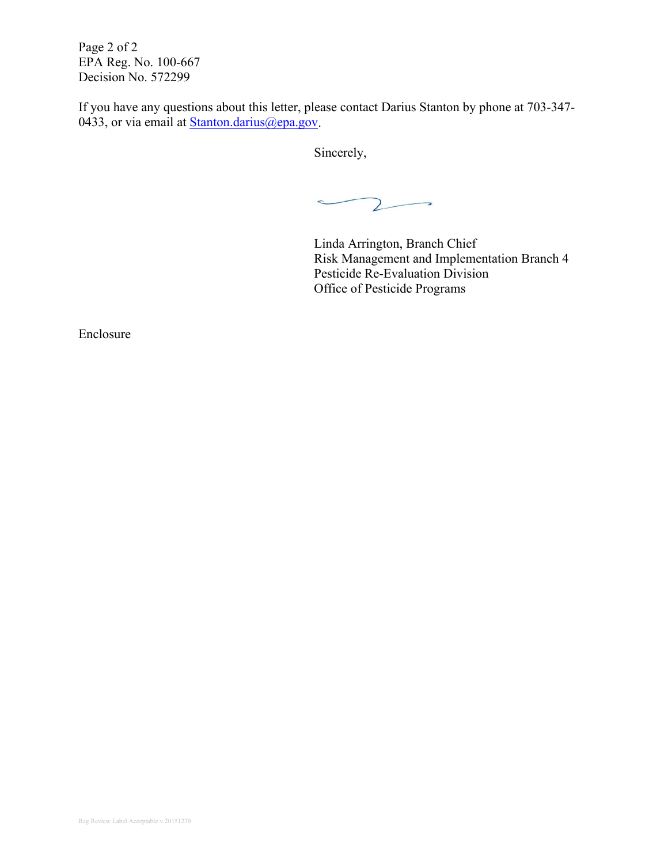Page 2 of 2 EPA Reg. No. 100-667 Decision No. 572299

If you have any questions about this letter, please contact Darius Stanton by phone at 703-347- 0433, or via email at **Stanton.darius@epa.gov**.

Sincerely,

 $\mathsf{Z}$  $\overline{\phantom{0}}$  $\rightarrow$ 

Linda Arrington, Branch Chief Risk Management and Implementation Branch 4 Pesticide Re-Evaluation Division Office of Pesticide Programs

Enclosure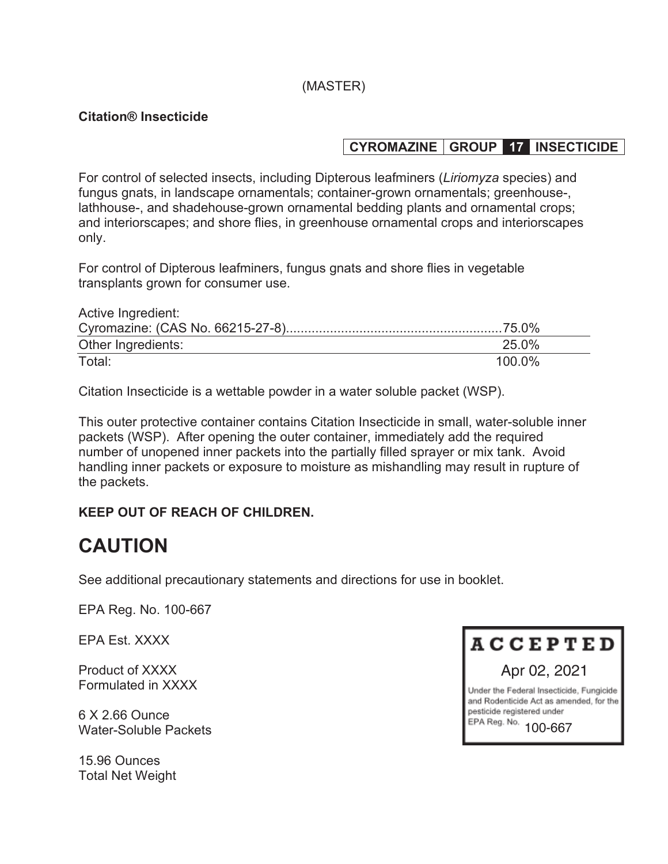## (MASTER)

#### **Citation® Insecticide**

## **CYROMAZINE GROUP 17 INSECTICIDE**

For control of selected insects, including Dipterous leafminers (*Liriomyza* species) and fungus gnats, in landscape ornamentals; container-grown ornamentals; greenhouse-, lathhouse-, and shadehouse-grown ornamental bedding plants and ornamental crops; and interiorscapes; and shore flies, in greenhouse ornamental crops and interiorscapes only.

For control of Dipterous leafminers, fungus gnats and shore flies in vegetable transplants grown for consumer use.

| Active Ingredient: |        |
|--------------------|--------|
|                    |        |
| Other Ingredients: | 25.0%  |
| Total:             | 100.0% |

Citation Insecticide is a wettable powder in a water soluble packet (WSP).

This outer protective container contains Citation Insecticide in small, water-soluble inner packets (WSP). After opening the outer container, immediately add the required number of unopened inner packets into the partially filled sprayer or mix tank. Avoid handling inner packets or exposure to moisture as mishandling may result in rupture of the packets.

## **KEEP OUT OF REACH OF CHILDREN.**

# **CAUTION**

See additional precautionary statements and directions for use in booklet.

EPA Reg. No. 100-667

EPA Est. XXXX

Product of XXXX Formulated in XXXX

6 X 2.66 Ounce Water-Soluble Packets

15.96 Ounces Total Net Weight



and Rodenticide Act as amended, for the pesticide registered under EPA Reg. No. 100-667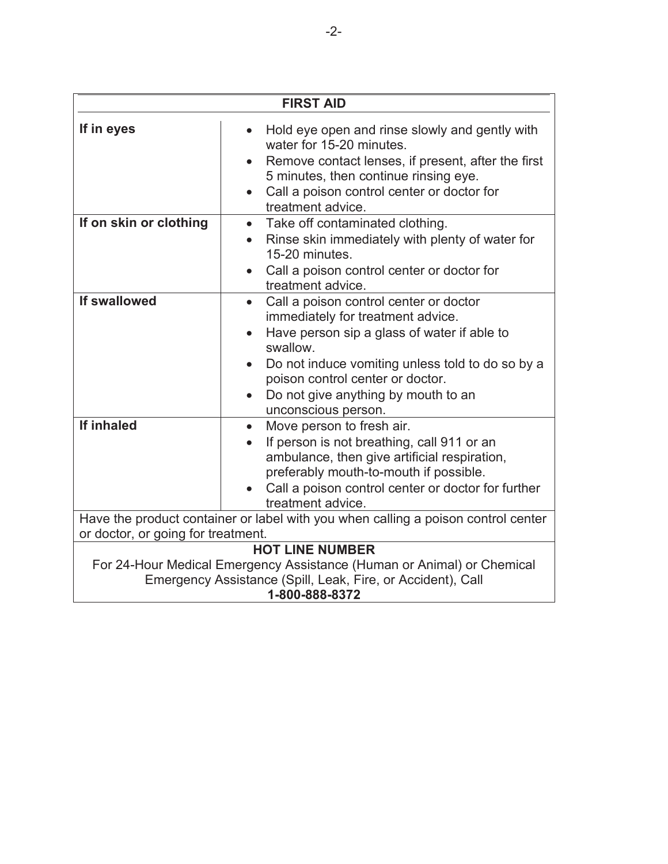| <b>FIRST AID</b>                                                                                                                                                                  |                                                                                                                                                                                                                                                                                                                        |  |
|-----------------------------------------------------------------------------------------------------------------------------------------------------------------------------------|------------------------------------------------------------------------------------------------------------------------------------------------------------------------------------------------------------------------------------------------------------------------------------------------------------------------|--|
| If in eyes                                                                                                                                                                        | Hold eye open and rinse slowly and gently with<br>water for 15-20 minutes.<br>Remove contact lenses, if present, after the first<br>5 minutes, then continue rinsing eye.<br>Call a poison control center or doctor for<br>$\bullet$<br>treatment advice.                                                              |  |
| If on skin or clothing                                                                                                                                                            | Take off contaminated clothing.<br>$\bullet$<br>Rinse skin immediately with plenty of water for<br>$\bullet$<br>15-20 minutes.<br>Call a poison control center or doctor for<br>treatment advice.                                                                                                                      |  |
| If swallowed                                                                                                                                                                      | Call a poison control center or doctor<br>$\bullet$<br>immediately for treatment advice.<br>Have person sip a glass of water if able to<br>swallow.<br>Do not induce vomiting unless told to do so by a<br>poison control center or doctor.<br>Do not give anything by mouth to an<br>$\bullet$<br>unconscious person. |  |
| <b>If inhaled</b>                                                                                                                                                                 | Move person to fresh air.<br>$\bullet$<br>If person is not breathing, call 911 or an<br>ambulance, then give artificial respiration,<br>preferably mouth-to-mouth if possible.<br>Call a poison control center or doctor for further<br>treatment advice.                                                              |  |
|                                                                                                                                                                                   | Have the product container or label with you when calling a poison control center                                                                                                                                                                                                                                      |  |
| or doctor, or going for treatment.                                                                                                                                                |                                                                                                                                                                                                                                                                                                                        |  |
| <b>HOT LINE NUMBER</b><br>For 24-Hour Medical Emergency Assistance (Human or Animal) or Chemical<br>Emergency Assistance (Spill, Leak, Fire, or Accident), Call<br>1-800-888-8372 |                                                                                                                                                                                                                                                                                                                        |  |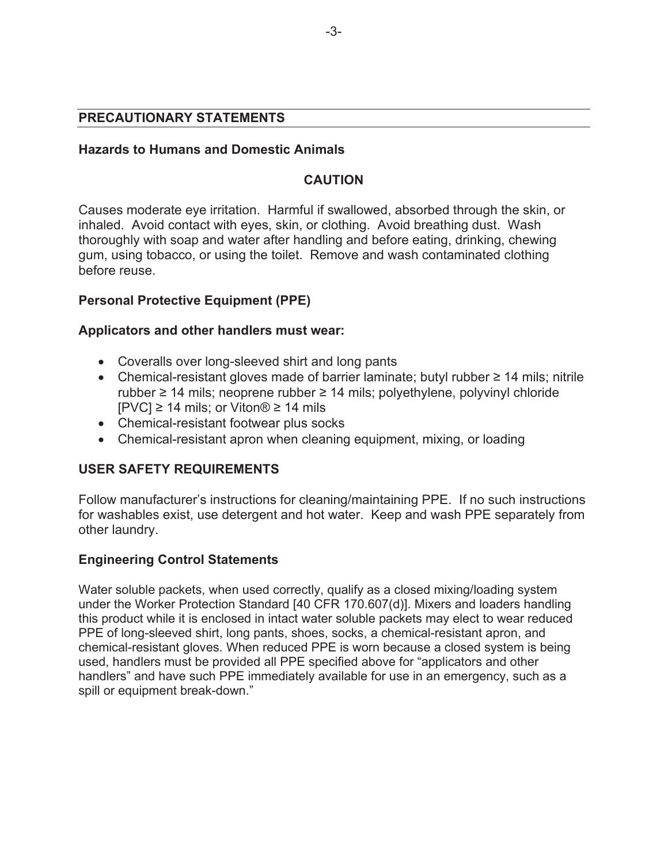#### **PRECAUTIONARY STATEMENTS**

#### **Hazards to Humans and Domestic Animals**

## **CAUTION**

Causes moderate eye irritation. Harmful if swallowed, absorbed through the skin, or inhaled. Avoid contact with eyes, skin, or clothing. Avoid breathing dust. Wash thoroughly with soap and water after handling and before eating, drinking, chewing gum, using tobacco, or using the toilet. Remove and wash contaminated clothing before reuse.

## **Personal Protective Equipment (PPE)**

#### **Applicators and other handlers must wear:**

- Coveralls over long-sleeved shirt and long pants
- Chemical-resistant gloves made of barrier laminate; butyl rubber  $\geq 14$  mils; nitrile rubber  $\geq$  14 mils; neoprene rubber  $\geq$  14 mils; polyethylene, polyvinyl chloride  $[PVC] \ge 14$  mils; or Viton® ≥ 14 mils
- Chemical-resistant footwear plus socks
- Chemical-resistant apron when cleaning equipment, mixing, or loading

#### **USER SAFETY REQUIREMENTS**

Follow manufacturer's instructions for cleaning/maintaining PPE. If no such instructions for washables exist, use detergent and hot water. Keep and wash PPE separately from other laundry.

#### **Engineering Control Statements**

Water soluble packets, when used correctly, qualify as a closed mixing/loading system under the Worker Protection Standard [40 CFR 170.607(d)]. Mixers and loaders handling this product while it is enclosed in intact water soluble packets may elect to wear reduced PPE of long-sleeved shirt, long pants, shoes, socks, a chemical-resistant apron, and chemical-resistant gloves. When reduced PPE is worn because a closed system is being used, handlers must be provided all PPE specified above for "applicators and other handlers" and have such PPE immediately available for use in an emergency, such as a spill or equipment break-down."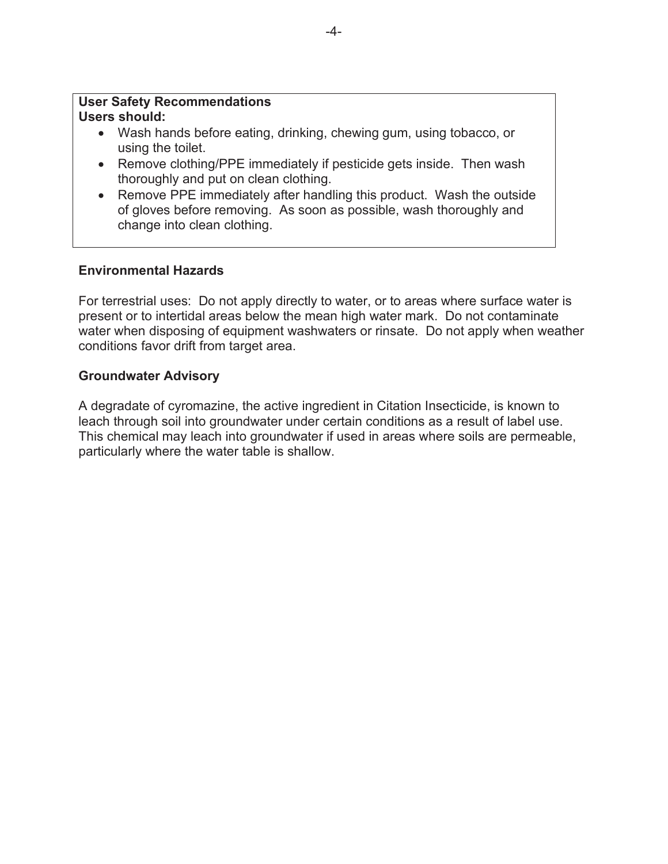#### **User Safety Recommendations Users should:**

- Wash hands before eating, drinking, chewing gum, using tobacco, or using the toilet.
- Remove clothing/PPE immediately if pesticide gets inside. Then wash thoroughly and put on clean clothing.
- Remove PPE immediately after handling this product. Wash the outside of gloves before removing. As soon as possible, wash thoroughly and change into clean clothing.

## **Environmental Hazards**

For terrestrial uses: Do not apply directly to water, or to areas where surface water is present or to intertidal areas below the mean high water mark. Do not contaminate water when disposing of equipment washwaters or rinsate. Do not apply when weather conditions favor drift from target area.

#### **Groundwater Advisory**

A degradate of cyromazine, the active ingredient in Citation Insecticide, is known to leach through soil into groundwater under certain conditions as a result of label use. This chemical may leach into groundwater if used in areas where soils are permeable, particularly where the water table is shallow.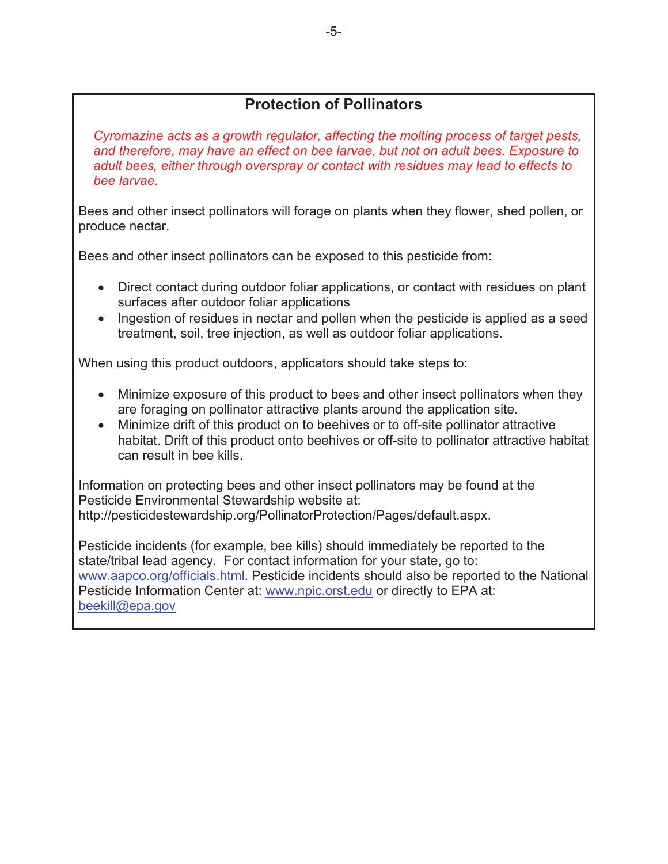## **Protection of Pollinators**

*Cyromazine acts as a growth regulator, affecting the molting process of target pests, and therefore, may have an effect on bee larvae, but not on adult bees. Exposure to adult bees, either through overspray or contact with residues may lead to effects to bee larvae.*

Bees and other insect pollinators will forage on plants when they flower, shed pollen, or produce nectar.

Bees and other insect pollinators can be exposed to this pesticide from:

- Direct contact during outdoor foliar applications, or contact with residues on plant surfaces after outdoor foliar applications
- Ingestion of residues in nectar and pollen when the pesticide is applied as a seed treatment, soil, tree injection, as well as outdoor foliar applications.

When using this product outdoors, applicators should take steps to:

- Minimize exposure of this product to bees and other insect pollinators when they are foraging on pollinator attractive plants around the application site.
- Minimize drift of this product on to beehives or to off-site pollinator attractive habitat. Drift of this product onto beehives or off-site to pollinator attractive habitat can result in bee kills.

Information on protecting bees and other insect pollinators may be found at the Pesticide Environmental Stewardship website at: http://pesticidestewardship.org/PollinatorProtection/Pages/default.aspx.

Pesticide incidents (for example, bee kills) should immediately be reported to the state/tribal lead agency. For contact information for your state, go to: www.aapco.org/officials.html. Pesticide incidents should also be reported to the National Pesticide Information Center at: www.npic.orst.edu or directly to EPA at: beekill@epa.gov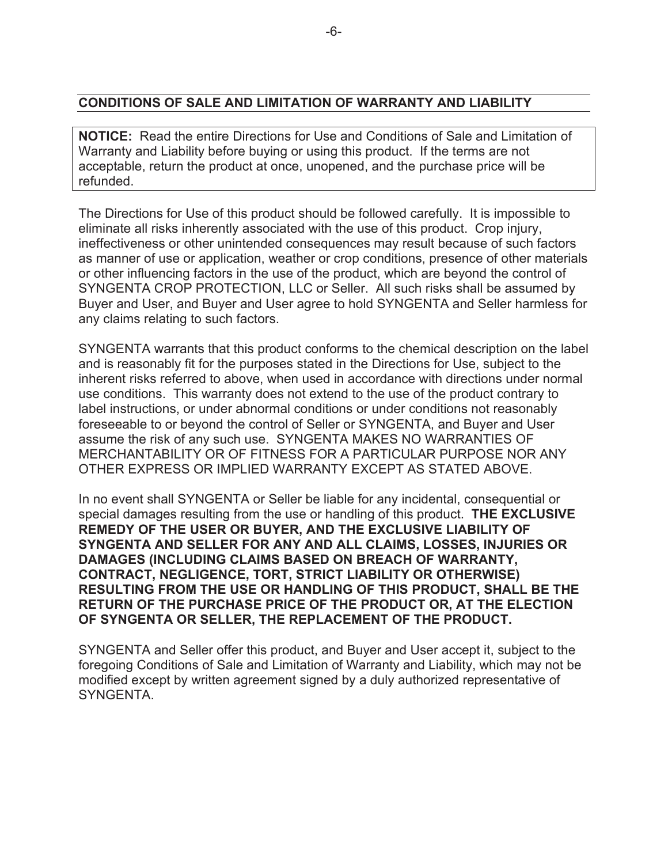#### **CONDITIONS OF SALE AND LIMITATION OF WARRANTY AND LIABILITY**

**NOTICE:** Read the entire Directions for Use and Conditions of Sale and Limitation of Warranty and Liability before buying or using this product. If the terms are not acceptable, return the product at once, unopened, and the purchase price will be refunded.

The Directions for Use of this product should be followed carefully. It is impossible to eliminate all risks inherently associated with the use of this product. Crop injury, ineffectiveness or other unintended consequences may result because of such factors as manner of use or application, weather or crop conditions, presence of other materials or other influencing factors in the use of the product, which are beyond the control of SYNGENTA CROP PROTECTION, LLC or Seller. All such risks shall be assumed by Buyer and User, and Buyer and User agree to hold SYNGENTA and Seller harmless for any claims relating to such factors.

SYNGENTA warrants that this product conforms to the chemical description on the label and is reasonably fit for the purposes stated in the Directions for Use, subject to the inherent risks referred to above, when used in accordance with directions under normal use conditions. This warranty does not extend to the use of the product contrary to label instructions, or under abnormal conditions or under conditions not reasonably foreseeable to or beyond the control of Seller or SYNGENTA, and Buyer and User assume the risk of any such use. SYNGENTA MAKES NO WARRANTIES OF MERCHANTABILITY OR OF FITNESS FOR A PARTICULAR PURPOSE NOR ANY OTHER EXPRESS OR IMPLIED WARRANTY EXCEPT AS STATED ABOVE.

In no event shall SYNGENTA or Seller be liable for any incidental, consequential or special damages resulting from the use or handling of this product. **THE EXCLUSIVE REMEDY OF THE USER OR BUYER, AND THE EXCLUSIVE LIABILITY OF SYNGENTA AND SELLER FOR ANY AND ALL CLAIMS, LOSSES, INJURIES OR DAMAGES (INCLUDING CLAIMS BASED ON BREACH OF WARRANTY, CONTRACT, NEGLIGENCE, TORT, STRICT LIABILITY OR OTHERWISE) RESULTING FROM THE USE OR HANDLING OF THIS PRODUCT, SHALL BE THE RETURN OF THE PURCHASE PRICE OF THE PRODUCT OR, AT THE ELECTION OF SYNGENTA OR SELLER, THE REPLACEMENT OF THE PRODUCT.**

SYNGENTA and Seller offer this product, and Buyer and User accept it, subject to the foregoing Conditions of Sale and Limitation of Warranty and Liability, which may not be modified except by written agreement signed by a duly authorized representative of SYNGENTA.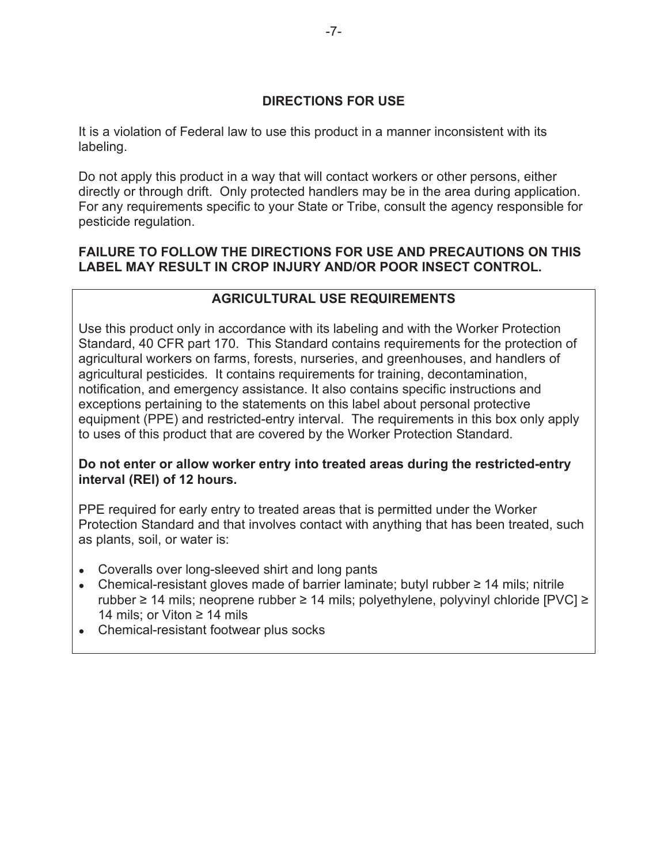## **DIRECTIONS FOR USE**

It is a violation of Federal law to use this product in a manner inconsistent with its labeling.

Do not apply this product in a way that will contact workers or other persons, either directly or through drift. Only protected handlers may be in the area during application. For any requirements specific to your State or Tribe, consult the agency responsible for pesticide regulation.

## **FAILURE TO FOLLOW THE DIRECTIONS FOR USE AND PRECAUTIONS ON THIS LABEL MAY RESULT IN CROP INJURY AND/OR POOR INSECT CONTROL.**

## **AGRICULTURAL USE REQUIREMENTS**

Use this product only in accordance with its labeling and with the Worker Protection Standard, 40 CFR part 170. This Standard contains requirements for the protection of agricultural workers on farms, forests, nurseries, and greenhouses, and handlers of agricultural pesticides. It contains requirements for training, decontamination, notification, and emergency assistance. It also contains specific instructions and exceptions pertaining to the statements on this label about personal protective equipment (PPE) and restricted-entry interval. The requirements in this box only apply to uses of this product that are covered by the Worker Protection Standard.

#### **Do not enter or allow worker entry into treated areas during the restricted-entry interval (REI) of 12 hours.**

PPE required for early entry to treated areas that is permitted under the Worker Protection Standard and that involves contact with anything that has been treated, such as plants, soil, or water is:

- Coveralls over long-sleeved shirt and long pants
- Chemical-resistant gloves made of barrier laminate; butyl rubber  $\geq 14$  mils; nitrile rubber  $\geq$  14 mils; neoprene rubber  $\geq$  14 mils; polyethylene, polyvinyl chloride [PVC]  $\geq$ 14 mils; or Viton  $\geq$  14 mils
- Chemical-resistant footwear plus socks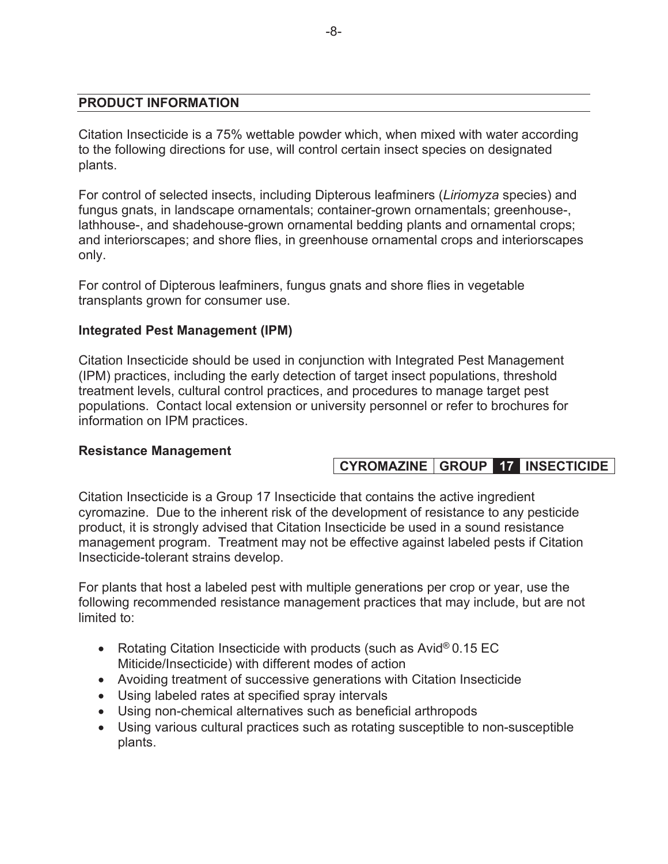#### **PRODUCT INFORMATION**

Citation Insecticide is a 75% wettable powder which, when mixed with water according to the following directions for use, will control certain insect species on designated plants.

For control of selected insects, including Dipterous leafminers (*Liriomyza* species) and fungus gnats, in landscape ornamentals; container-grown ornamentals; greenhouse-, lathhouse-, and shadehouse-grown ornamental bedding plants and ornamental crops; and interiorscapes; and shore flies, in greenhouse ornamental crops and interiorscapes only.

For control of Dipterous leafminers, fungus gnats and shore flies in vegetable transplants grown for consumer use.

#### **Integrated Pest Management (IPM)**

Citation Insecticide should be used in conjunction with Integrated Pest Management (IPM) practices, including the early detection of target insect populations, threshold treatment levels, cultural control practices, and procedures to manage target pest populations. Contact local extension or university personnel or refer to brochures for information on IPM practices.

#### **Resistance Management**

## **CYROMAZINE GROUP 17 INSECTICIDE**

Citation Insecticide is a Group 17 Insecticide that contains the active ingredient cyromazine. Due to the inherent risk of the development of resistance to any pesticide product, it is strongly advised that Citation Insecticide be used in a sound resistance management program. Treatment may not be effective against labeled pests if Citation Insecticide-tolerant strains develop.

For plants that host a labeled pest with multiple generations per crop or year, use the following recommended resistance management practices that may include, but are not limited to:

- Rotating Citation Insecticide with products (such as Avid<sup>®</sup> 0.15 EC Miticide/Insecticide) with different modes of action
- Avoiding treatment of successive generations with Citation Insecticide
- Using labeled rates at specified spray intervals
- Using non-chemical alternatives such as beneficial arthropods
- Using various cultural practices such as rotating susceptible to non-susceptible plants.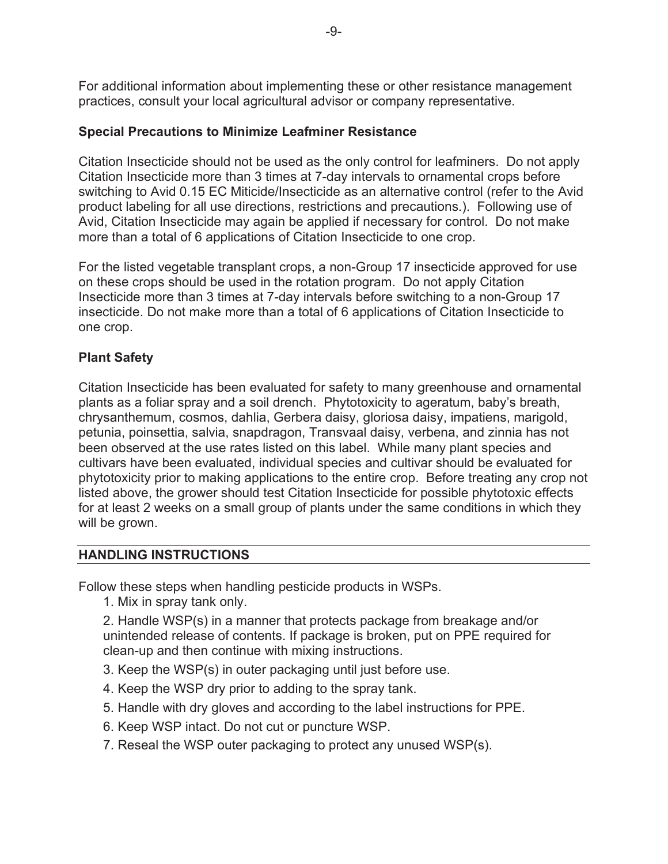For additional information about implementing these or other resistance management practices, consult your local agricultural advisor or company representative.

## **Special Precautions to Minimize Leafminer Resistance**

Citation Insecticide should not be used as the only control for leafminers. Do not apply Citation Insecticide more than 3 times at 7-day intervals to ornamental crops before switching to Avid 0.15 EC Miticide/Insecticide as an alternative control (refer to the Avid product labeling for all use directions, restrictions and precautions.). Following use of Avid, Citation Insecticide may again be applied if necessary for control. Do not make more than a total of 6 applications of Citation Insecticide to one crop.

For the listed vegetable transplant crops, a non-Group 17 insecticide approved for use on these crops should be used in the rotation program. Do not apply Citation Insecticide more than 3 times at 7-day intervals before switching to a non-Group 17 insecticide. Do not make more than a total of 6 applications of Citation Insecticide to one crop.

## **Plant Safety**

Citation Insecticide has been evaluated for safety to many greenhouse and ornamental plants as a foliar spray and a soil drench. Phytotoxicity to ageratum, baby's breath, chrysanthemum, cosmos, dahlia, Gerbera daisy, gloriosa daisy, impatiens, marigold, petunia, poinsettia, salvia, snapdragon, Transvaal daisy, verbena, and zinnia has not been observed at the use rates listed on this label. While many plant species and cultivars have been evaluated, individual species and cultivar should be evaluated for phytotoxicity prior to making applications to the entire crop. Before treating any crop not listed above, the grower should test Citation Insecticide for possible phytotoxic effects for at least 2 weeks on a small group of plants under the same conditions in which they will be grown.

#### **HANDLING INSTRUCTIONS**

Follow these steps when handling pesticide products in WSPs.

1. Mix in spray tank only.

2. Handle WSP(s) in a manner that protects package from breakage and/or unintended release of contents. If package is broken, put on PPE required for clean-up and then continue with mixing instructions.

- 3. Keep the WSP(s) in outer packaging until just before use.
- 4. Keep the WSP dry prior to adding to the spray tank.
- 5. Handle with dry gloves and according to the label instructions for PPE.
- 6. Keep WSP intact. Do not cut or puncture WSP.
- 7. Reseal the WSP outer packaging to protect any unused WSP(s).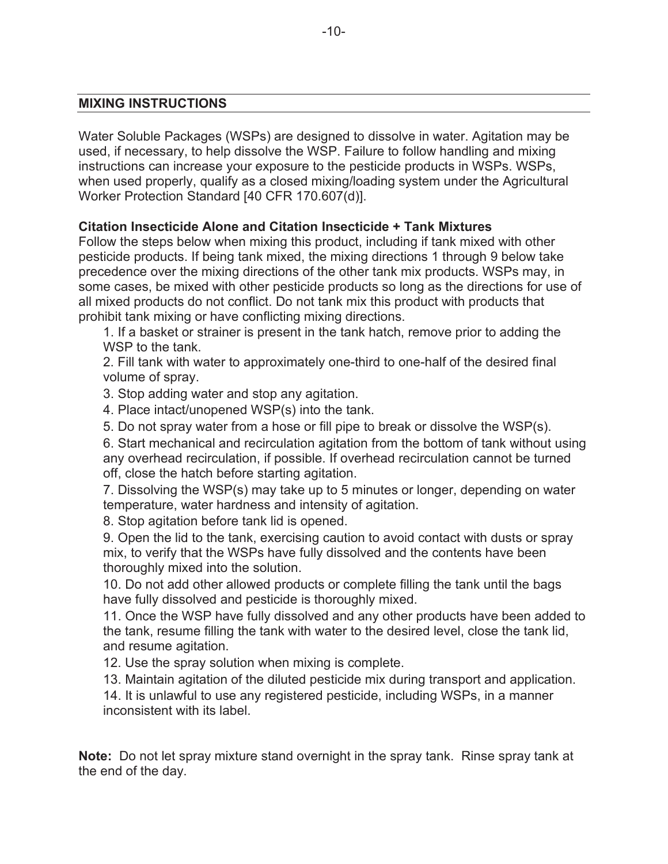#### **MIXING INSTRUCTIONS**

Water Soluble Packages (WSPs) are designed to dissolve in water. Agitation may be used, if necessary, to help dissolve the WSP. Failure to follow handling and mixing instructions can increase your exposure to the pesticide products in WSPs. WSPs, when used properly, qualify as a closed mixing/loading system under the Agricultural Worker Protection Standard [40 CFR 170.607(d)].

#### **Citation Insecticide Alone and Citation Insecticide + Tank Mixtures**

Follow the steps below when mixing this product, including if tank mixed with other pesticide products. If being tank mixed, the mixing directions 1 through 9 below take precedence over the mixing directions of the other tank mix products. WSPs may, in some cases, be mixed with other pesticide products so long as the directions for use of all mixed products do not conflict. Do not tank mix this product with products that prohibit tank mixing or have conflicting mixing directions.

1. If a basket or strainer is present in the tank hatch, remove prior to adding the WSP to the tank.

2. Fill tank with water to approximately one-third to one-half of the desired final volume of spray.

3. Stop adding water and stop any agitation.

4. Place intact/unopened WSP(s) into the tank.

5. Do not spray water from a hose or fill pipe to break or dissolve the WSP(s).

6. Start mechanical and recirculation agitation from the bottom of tank without using any overhead recirculation, if possible. If overhead recirculation cannot be turned off, close the hatch before starting agitation.

7. Dissolving the WSP(s) may take up to 5 minutes or longer, depending on water temperature, water hardness and intensity of agitation.

8. Stop agitation before tank lid is opened.

9. Open the lid to the tank, exercising caution to avoid contact with dusts or spray mix, to verify that the WSPs have fully dissolved and the contents have been thoroughly mixed into the solution.

10. Do not add other allowed products or complete filling the tank until the bags have fully dissolved and pesticide is thoroughly mixed.

11. Once the WSP have fully dissolved and any other products have been added to the tank, resume filling the tank with water to the desired level, close the tank lid, and resume agitation.

12. Use the spray solution when mixing is complete.

13. Maintain agitation of the diluted pesticide mix during transport and application.

14. It is unlawful to use any registered pesticide, including WSPs, in a manner inconsistent with its label.

**Note:** Do not let spray mixture stand overnight in the spray tank. Rinse spray tank at the end of the day.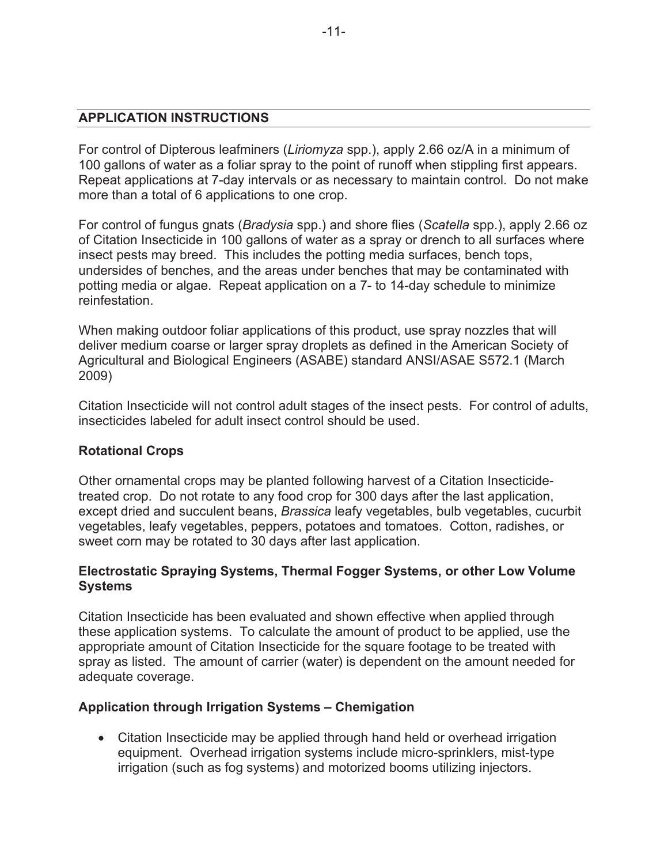#### **APPLICATION INSTRUCTIONS**

For control of Dipterous leafminers (*Liriomyza* spp.), apply 2.66 oz/A in a minimum of 100 gallons of water as a foliar spray to the point of runoff when stippling first appears. Repeat applications at 7-day intervals or as necessary to maintain control. Do not make more than a total of 6 applications to one crop.

For control of fungus gnats (*Bradysia* spp.) and shore flies (*Scatella* spp.), apply 2.66 oz of Citation Insecticide in 100 gallons of water as a spray or drench to all surfaces where insect pests may breed. This includes the potting media surfaces, bench tops, undersides of benches, and the areas under benches that may be contaminated with potting media or algae. Repeat application on a 7- to 14-day schedule to minimize reinfestation.

When making outdoor foliar applications of this product, use spray nozzles that will deliver medium coarse or larger spray droplets as defined in the American Society of Agricultural and Biological Engineers (ASABE) standard ANSI/ASAE S572.1 (March 2009)

Citation Insecticide will not control adult stages of the insect pests. For control of adults, insecticides labeled for adult insect control should be used.

#### **Rotational Crops**

Other ornamental crops may be planted following harvest of a Citation Insecticidetreated crop. Do not rotate to any food crop for 300 days after the last application, except dried and succulent beans, *Brassica* leafy vegetables, bulb vegetables, cucurbit vegetables, leafy vegetables, peppers, potatoes and tomatoes. Cotton, radishes, or sweet corn may be rotated to 30 days after last application.

## **Electrostatic Spraying Systems, Thermal Fogger Systems, or other Low Volume Systems**

Citation Insecticide has been evaluated and shown effective when applied through these application systems. To calculate the amount of product to be applied, use the appropriate amount of Citation Insecticide for the square footage to be treated with spray as listed. The amount of carrier (water) is dependent on the amount needed for adequate coverage.

## **Application through Irrigation Systems – Chemigation**

• Citation Insecticide may be applied through hand held or overhead irrigation equipment. Overhead irrigation systems include micro-sprinklers, mist-type irrigation (such as fog systems) and motorized booms utilizing injectors.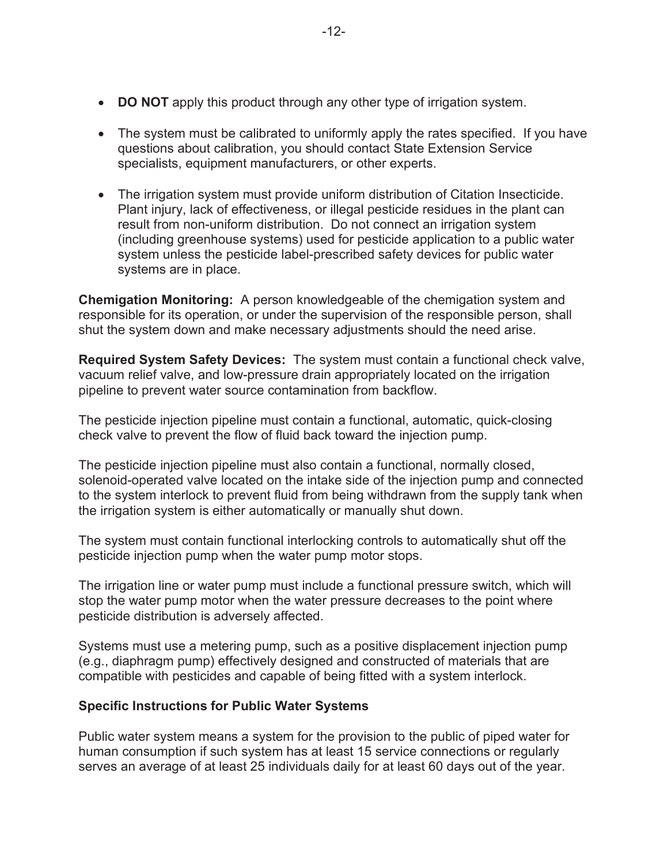- **DO NOT** apply this product through any other type of irrigation system.
- $\bullet$  The system must be calibrated to uniformly apply the rates specified. If you have questions about calibration, you should contact State Extension Service specialists, equipment manufacturers, or other experts.
- The irrigation system must provide uniform distribution of Citation Insecticide. Plant injury, lack of effectiveness, or illegal pesticide residues in the plant can result from non-uniform distribution. Do not connect an irrigation system (including greenhouse systems) used for pesticide application to a public water system unless the pesticide label-prescribed safety devices for public water systems are in place.

**Chemigation Monitoring:** A person knowledgeable of the chemigation system and responsible for its operation, or under the supervision of the responsible person, shall shut the system down and make necessary adjustments should the need arise.

**Required System Safety Devices:** The system must contain a functional check valve, vacuum relief valve, and low-pressure drain appropriately located on the irrigation pipeline to prevent water source contamination from backflow.

The pesticide injection pipeline must contain a functional, automatic, quick-closing check valve to prevent the flow of fluid back toward the injection pump.

The pesticide injection pipeline must also contain a functional, normally closed, solenoid-operated valve located on the intake side of the injection pump and connected to the system interlock to prevent fluid from being withdrawn from the supply tank when the irrigation system is either automatically or manually shut down.

The system must contain functional interlocking controls to automatically shut off the pesticide injection pump when the water pump motor stops.

The irrigation line or water pump must include a functional pressure switch, which will stop the water pump motor when the water pressure decreases to the point where pesticide distribution is adversely affected.

Systems must use a metering pump, such as a positive displacement injection pump (e.g., diaphragm pump) effectively designed and constructed of materials that are compatible with pesticides and capable of being fitted with a system interlock.

## **Specific Instructions for Public Water Systems**

Public water system means a system for the provision to the public of piped water for human consumption if such system has at least 15 service connections or regularly serves an average of at least 25 individuals daily for at least 60 days out of the year.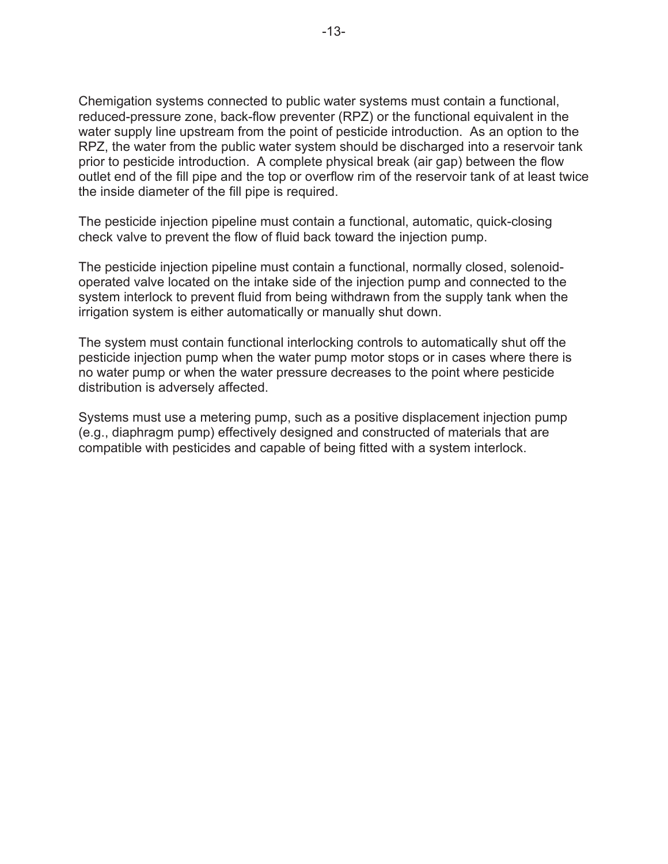Chemigation systems connected to public water systems must contain a functional, reduced-pressure zone, back-flow preventer (RPZ) or the functional equivalent in the water supply line upstream from the point of pesticide introduction. As an option to the RPZ, the water from the public water system should be discharged into a reservoir tank prior to pesticide introduction. A complete physical break (air gap) between the flow outlet end of the fill pipe and the top or overflow rim of the reservoir tank of at least twice the inside diameter of the fill pipe is required.

The pesticide injection pipeline must contain a functional, automatic, quick-closing check valve to prevent the flow of fluid back toward the injection pump.

The pesticide injection pipeline must contain a functional, normally closed, solenoidoperated valve located on the intake side of the injection pump and connected to the system interlock to prevent fluid from being withdrawn from the supply tank when the irrigation system is either automatically or manually shut down.

The system must contain functional interlocking controls to automatically shut off the pesticide injection pump when the water pump motor stops or in cases where there is no water pump or when the water pressure decreases to the point where pesticide distribution is adversely affected.

Systems must use a metering pump, such as a positive displacement injection pump (e.g., diaphragm pump) effectively designed and constructed of materials that are compatible with pesticides and capable of being fitted with a system interlock.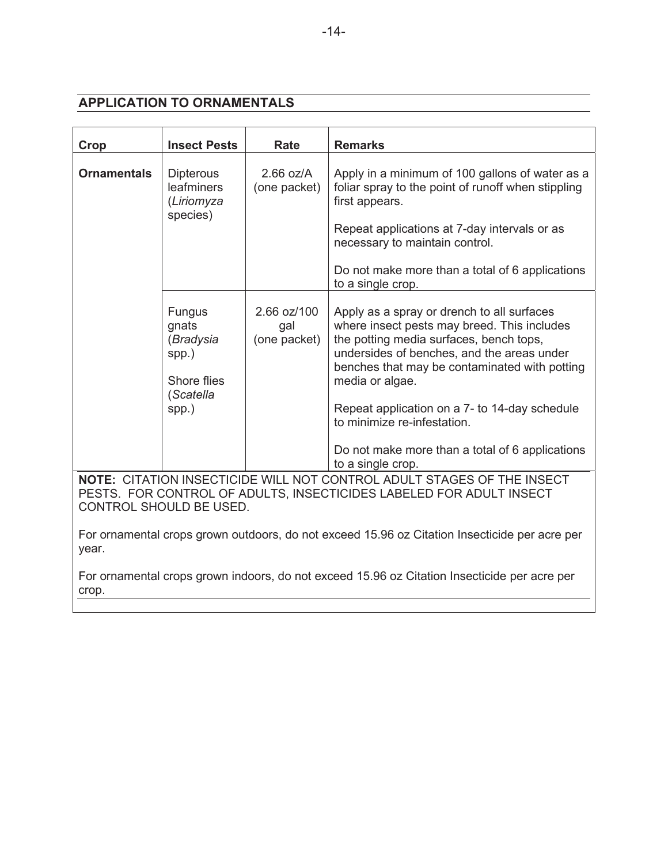## **APPLICATION TO ORNAMENTALS**

| Crop               | <b>Insect Pests</b>                                                               | Rate                               | <b>Remarks</b>                                                                                                                                                                                                                                                                                                                                                                                                 |
|--------------------|-----------------------------------------------------------------------------------|------------------------------------|----------------------------------------------------------------------------------------------------------------------------------------------------------------------------------------------------------------------------------------------------------------------------------------------------------------------------------------------------------------------------------------------------------------|
| <b>Ornamentals</b> | <b>Dipterous</b><br>leafminers<br>(Liriomyza<br>species)                          | $2.66$ oz/A<br>(one packet)        | Apply in a minimum of 100 gallons of water as a<br>foliar spray to the point of runoff when stippling<br>first appears.<br>Repeat applications at 7-day intervals or as<br>necessary to maintain control.<br>Do not make more than a total of 6 applications<br>to a single crop.                                                                                                                              |
|                    | <b>Fungus</b><br>gnats<br>(Bradysia<br>spp.)<br>Shore flies<br>(Scatella<br>spp.) | 2.66 oz/100<br>gal<br>(one packet) | Apply as a spray or drench to all surfaces<br>where insect pests may breed. This includes<br>the potting media surfaces, bench tops,<br>undersides of benches, and the areas under<br>benches that may be contaminated with potting<br>media or algae.<br>Repeat application on a 7- to 14-day schedule<br>to minimize re-infestation.<br>Do not make more than a total of 6 applications<br>to a single crop. |
|                    | CONTROL SHOULD BE USED.                                                           |                                    | NOTE: CITATION INSECTICIDE WILL NOT CONTROL ADULT STAGES OF THE INSECT<br>PESTS. FOR CONTROL OF ADULTS, INSECTICIDES LABELED FOR ADULT INSECT                                                                                                                                                                                                                                                                  |
| year.<br>crop.     |                                                                                   |                                    | For ornamental crops grown outdoors, do not exceed 15.96 oz Citation Insecticide per acre per<br>For ornamental crops grown indoors, do not exceed 15.96 oz Citation Insecticide per acre per                                                                                                                                                                                                                  |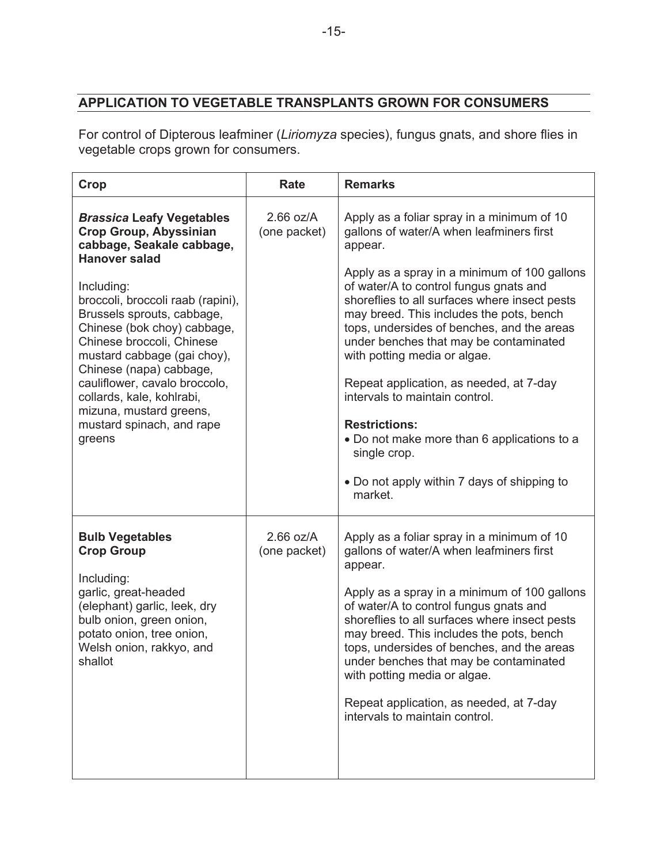## **APPLICATION TO VEGETABLE TRANSPLANTS GROWN FOR CONSUMERS**

For control of Dipterous leafminer (*Liriomyza* species), fungus gnats, and shore flies in vegetable crops grown for consumers.

| Crop                                                                                                                                                                                                                                                                                                                                                                                                                                                          | <b>Rate</b>                 | <b>Remarks</b>                                                                                                                                                                                                                                                                                                                                                                                                                                                                                                                                                                                                                                 |
|---------------------------------------------------------------------------------------------------------------------------------------------------------------------------------------------------------------------------------------------------------------------------------------------------------------------------------------------------------------------------------------------------------------------------------------------------------------|-----------------------------|------------------------------------------------------------------------------------------------------------------------------------------------------------------------------------------------------------------------------------------------------------------------------------------------------------------------------------------------------------------------------------------------------------------------------------------------------------------------------------------------------------------------------------------------------------------------------------------------------------------------------------------------|
| <b>Brassica Leafy Vegetables</b><br><b>Crop Group, Abyssinian</b><br>cabbage, Seakale cabbage,<br><b>Hanover salad</b><br>Including:<br>broccoli, broccoli raab (rapini),<br>Brussels sprouts, cabbage,<br>Chinese (bok choy) cabbage,<br>Chinese broccoli, Chinese<br>mustard cabbage (gai choy),<br>Chinese (napa) cabbage,<br>cauliflower, cavalo broccolo,<br>collards, kale, kohlrabi,<br>mizuna, mustard greens,<br>mustard spinach, and rape<br>greens | $2.66$ oz/A<br>(one packet) | Apply as a foliar spray in a minimum of 10<br>gallons of water/A when leafminers first<br>appear.<br>Apply as a spray in a minimum of 100 gallons<br>of water/A to control fungus gnats and<br>shoreflies to all surfaces where insect pests<br>may breed. This includes the pots, bench<br>tops, undersides of benches, and the areas<br>under benches that may be contaminated<br>with potting media or algae.<br>Repeat application, as needed, at 7-day<br>intervals to maintain control.<br><b>Restrictions:</b><br>• Do not make more than 6 applications to a<br>single crop.<br>• Do not apply within 7 days of shipping to<br>market. |
| <b>Bulb Vegetables</b><br><b>Crop Group</b><br>Including:<br>garlic, great-headed<br>(elephant) garlic, leek, dry<br>bulb onion, green onion,<br>potato onion, tree onion,<br>Welsh onion, rakkyo, and<br>shallot                                                                                                                                                                                                                                             | $2.66$ oz/A<br>(one packet) | Apply as a foliar spray in a minimum of 10<br>gallons of water/A when leafminers first<br>appear.<br>Apply as a spray in a minimum of 100 gallons<br>of water/A to control fungus gnats and<br>shoreflies to all surfaces where insect pests<br>may breed. This includes the pots, bench<br>tops, undersides of benches, and the areas<br>under benches that may be contaminated<br>with potting media or algae.<br>Repeat application, as needed, at 7-day<br>intervals to maintain control.                                                                                                                                                  |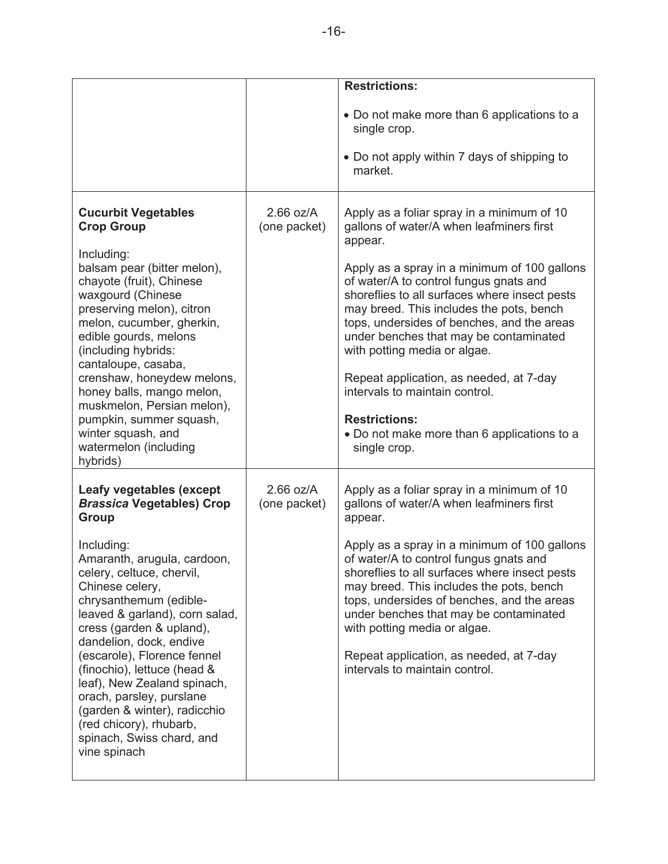|                                                                                                                                                                                                                                                                                                                                                                                                                                                   |                             | <b>Restrictions:</b>                                                                                                                                                                                                                                                                                                                                                                                                                                                                                                                                                 |
|---------------------------------------------------------------------------------------------------------------------------------------------------------------------------------------------------------------------------------------------------------------------------------------------------------------------------------------------------------------------------------------------------------------------------------------------------|-----------------------------|----------------------------------------------------------------------------------------------------------------------------------------------------------------------------------------------------------------------------------------------------------------------------------------------------------------------------------------------------------------------------------------------------------------------------------------------------------------------------------------------------------------------------------------------------------------------|
|                                                                                                                                                                                                                                                                                                                                                                                                                                                   |                             | • Do not make more than 6 applications to a<br>single crop.                                                                                                                                                                                                                                                                                                                                                                                                                                                                                                          |
|                                                                                                                                                                                                                                                                                                                                                                                                                                                   |                             | • Do not apply within 7 days of shipping to<br>market.                                                                                                                                                                                                                                                                                                                                                                                                                                                                                                               |
| <b>Cucurbit Vegetables</b><br><b>Crop Group</b><br>Including:<br>balsam pear (bitter melon),<br>chayote (fruit), Chinese<br>waxgourd (Chinese<br>preserving melon), citron<br>melon, cucumber, gherkin,<br>edible gourds, melons<br>(including hybrids:<br>cantaloupe, casaba,<br>crenshaw, honeydew melons,<br>honey balls, mango melon,<br>muskmelon, Persian melon),<br>pumpkin, summer squash,<br>winter squash, and<br>watermelon (including | $2.66$ oz/A<br>(one packet) | Apply as a foliar spray in a minimum of 10<br>gallons of water/A when leafminers first<br>appear.<br>Apply as a spray in a minimum of 100 gallons<br>of water/A to control fungus gnats and<br>shoreflies to all surfaces where insect pests<br>may breed. This includes the pots, bench<br>tops, undersides of benches, and the areas<br>under benches that may be contaminated<br>with potting media or algae.<br>Repeat application, as needed, at 7-day<br>intervals to maintain control.<br><b>Restrictions:</b><br>• Do not make more than 6 applications to a |
| hybrids)                                                                                                                                                                                                                                                                                                                                                                                                                                          |                             | single crop.                                                                                                                                                                                                                                                                                                                                                                                                                                                                                                                                                         |
| Leafy vegetables (except<br><b>Brassica Vegetables) Crop</b><br><b>Group</b>                                                                                                                                                                                                                                                                                                                                                                      | $2.66$ oz/A<br>(one packet) | Apply as a foliar spray in a minimum of 10<br>gallons of water/A when leafminers first<br>appear.                                                                                                                                                                                                                                                                                                                                                                                                                                                                    |
| Including:<br>Amaranth, arugula, cardoon,<br>celery, celtuce, chervil,<br>Chinese celery,<br>chrysanthemum (edible-<br>leaved & garland), corn salad,<br>cress (garden & upland),<br>dandelion, dock, endive<br>(escarole), Florence fennel<br>(finochio), lettuce (head &<br>leaf), New Zealand spinach,<br>orach, parsley, purslane<br>(garden & winter), radicchio<br>(red chicory), rhubarb,<br>spinach, Swiss chard, and<br>vine spinach     |                             | Apply as a spray in a minimum of 100 gallons<br>of water/A to control fungus gnats and<br>shoreflies to all surfaces where insect pests<br>may breed. This includes the pots, bench<br>tops, undersides of benches, and the areas<br>under benches that may be contaminated<br>with potting media or algae.<br>Repeat application, as needed, at 7-day<br>intervals to maintain control.                                                                                                                                                                             |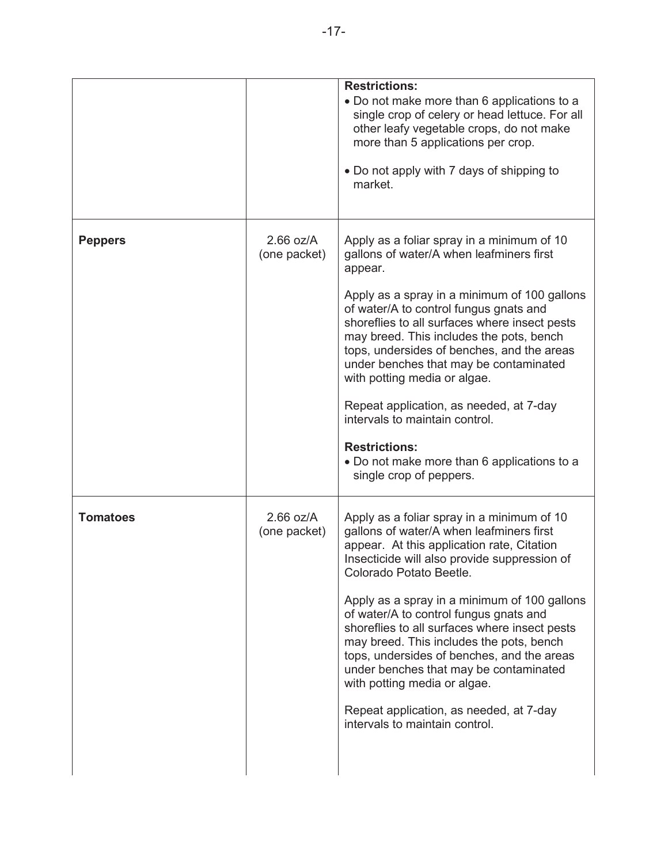|                 |                             | <b>Restrictions:</b><br>• Do not make more than 6 applications to a<br>single crop of celery or head lettuce. For all<br>other leafy vegetable crops, do not make<br>more than 5 applications per crop.<br>. Do not apply with 7 days of shipping to<br>market.                                                                                                                                                                                                                                                                                                                                             |
|-----------------|-----------------------------|-------------------------------------------------------------------------------------------------------------------------------------------------------------------------------------------------------------------------------------------------------------------------------------------------------------------------------------------------------------------------------------------------------------------------------------------------------------------------------------------------------------------------------------------------------------------------------------------------------------|
| <b>Peppers</b>  | $2.66$ oz/A<br>(one packet) | Apply as a foliar spray in a minimum of 10<br>gallons of water/A when leafminers first<br>appear.<br>Apply as a spray in a minimum of 100 gallons<br>of water/A to control fungus gnats and<br>shoreflies to all surfaces where insect pests<br>may breed. This includes the pots, bench<br>tops, undersides of benches, and the areas<br>under benches that may be contaminated<br>with potting media or algae.<br>Repeat application, as needed, at 7-day<br>intervals to maintain control.<br><b>Restrictions:</b><br>. Do not make more than 6 applications to a<br>single crop of peppers.             |
| <b>Tomatoes</b> | $2.66$ oz/A<br>(one packet) | Apply as a foliar spray in a minimum of 10<br>gallons of water/A when leafminers first<br>appear. At this application rate, Citation<br>Insecticide will also provide suppression of<br>Colorado Potato Beetle.<br>Apply as a spray in a minimum of 100 gallons<br>of water/A to control fungus gnats and<br>shoreflies to all surfaces where insect pests<br>may breed. This includes the pots, bench<br>tops, undersides of benches, and the areas<br>under benches that may be contaminated<br>with potting media or algae.<br>Repeat application, as needed, at 7-day<br>intervals to maintain control. |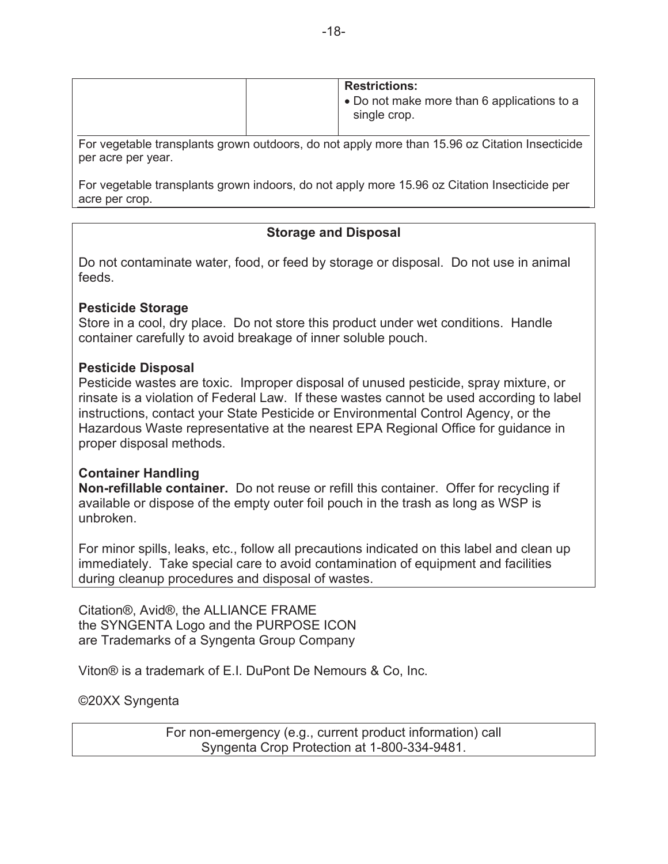| <b>Restrictions:</b>                                        |
|-------------------------------------------------------------|
| • Do not make more than 6 applications to a<br>single crop. |

For vegetable transplants grown outdoors, do not apply more than 15.96 oz Citation Insecticide per acre per year.

For vegetable transplants grown indoors, do not apply more 15.96 oz Citation Insecticide per acre per crop.

## **Storage and Disposal**

Do not contaminate water, food, or feed by storage or disposal. Do not use in animal feeds.

#### **Pesticide Storage**

Store in a cool, dry place. Do not store this product under wet conditions. Handle container carefully to avoid breakage of inner soluble pouch.

#### **Pesticide Disposal**

Pesticide wastes are toxic. Improper disposal of unused pesticide, spray mixture, or rinsate is a violation of Federal Law. If these wastes cannot be used according to label instructions, contact your State Pesticide or Environmental Control Agency, or the Hazardous Waste representative at the nearest EPA Regional Office for guidance in proper disposal methods.

#### **Container Handling**

**Non-refillable container.** Do not reuse or refill this container. Offer for recycling if available or dispose of the empty outer foil pouch in the trash as long as WSP is unbroken.

For minor spills, leaks, etc., follow all precautions indicated on this label and clean up immediately. Take special care to avoid contamination of equipment and facilities during cleanup procedures and disposal of wastes.

Citation®, Avid®, the ALLIANCE FRAME the SYNGENTA Logo and the PURPOSE ICON are Trademarks of a Syngenta Group Company

Viton® is a trademark of E.I. DuPont De Nemours & Co, Inc.

©20XX Syngenta

For non-emergency (e.g., current product information) call Syngenta Crop Protection at 1-800-334-9481.